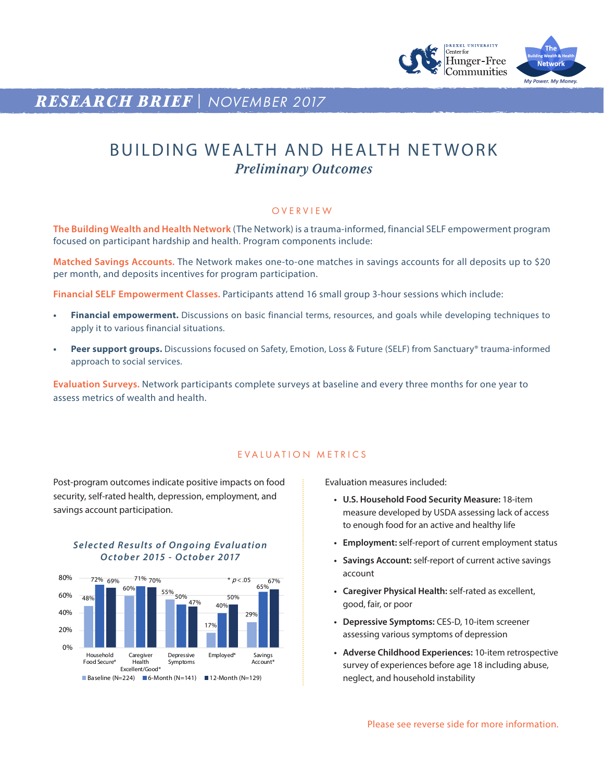

## *RESEARCH BRIEF* | *NOVEMBER 2017*

# BUILDING WEALTH AND HEALTH NET WORK *Preliminary Outcomes*

#### **OVERVIEW**

**The Building Wealth and Health Network** (The Network) is a trauma-informed, financial SELF empowerment program focused on participant hardship and health. Program components include:

**Matched Savings Accounts.** The Network makes one-to-one matches in savings accounts for all deposits up to \$20 per month, and deposits incentives for program participation.

**Financial SELF Empowerment Classes.** Participants attend 16 small group 3-hour sessions which include:

- **• Financial empowerment.** Discussions on basic financial terms, resources, and goals while developing techniques to apply it to various financial situations.
- **• Peer support groups.** Discussions focused on Safety, Emotion, Loss & Future (SELF) from Sanctuary® trauma-informed approach to social services.

**Evaluation Surveys.** Network participants complete surveys at baseline and every three months for one year to assess metrics of wealth and health.

#### EVALUATION METRICS

Post-program outcomes indicate positive impacts on food security, self-rated health, depression, employment, and savings account participation.

### **Selected Results of Ongoing Evaluation** *October 2015 - October 2017*



Evaluation measures included:

- **• U.S. Household Food Security Measure:** 18-item measure developed by USDA assessing lack of access to enough food for an active and healthy life
- **• Employment:** self-report of current employment status
- **• Savings Account:** self-report of current active savings account
- **• Caregiver Physical Health:** self-rated as excellent, good, fair, or poor
- **• Depressive Symptoms:** CES-D, 10-item screener assessing various symptoms of depression
- **• Adverse Childhood Experiences:** 10-item retrospective survey of experiences before age 18 including abuse, neglect, and household instability